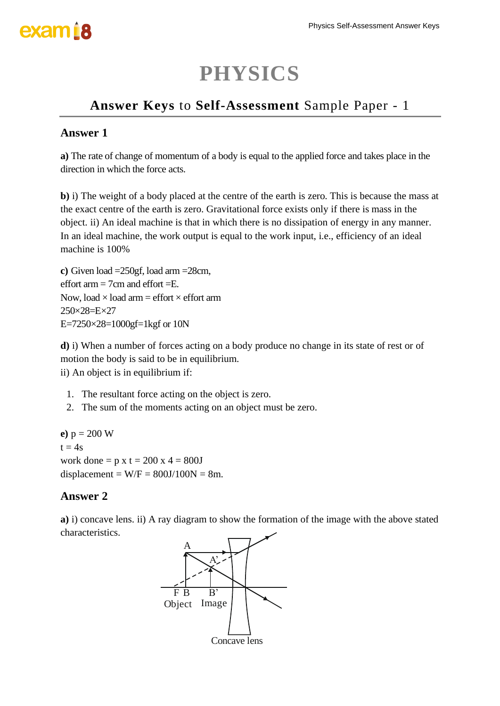### **PHYSICS**

### **Answer Keys** to **Self-Assessment** Sample Paper - 1

#### **Answer 1**

**a)** The rate of change of momentum of a body is equal to the applied force and takes place in the direction in which the force acts.

**b)** i) The weight of a body placed at the centre of the earth is zero. This is because the mass at the exact centre of the earth is zero. Gravitational force exists only if there is mass in the object. ii) An ideal machine is that in which there is no dissipation of energy in any manner. In an ideal machine, the work output is equal to the work input, i.e., efficiency of an ideal machine is 100%

**c)** Given load =250gf, load arm =28cm, effort arm  $=$  7cm and effort  $=$   $E$ . Now, load  $\times$  load arm = effort  $\times$  effort arm 250×28=E×27 E=7250×28=1000gf=1kgf or 10N

**d)** i) When a number of forces acting on a body produce no change in its state of rest or of motion the body is said to be in equilibrium.

ii) An object is in equilibrium if:

- 1. The [resultant force](http://physicsnet.co.uk/a-level-physics-as-a2/mechanics/scalars-vectors/) acting on the object is zero.
- 2. The sum of the [moments](http://physicsnet.co.uk/a-level-physics-as-a2/mechanics/moments/) acting on an object must be zero.

**e**)  $p = 200$  W  $t = 4s$ work done =  $p \times t = 200 \times 4 = 800J$ displacement =  $W/F = 800J/100N = 8m$ .

### **Answer 2**

**a)** i) concave lens. ii) A ray diagram to show the formation of the image with the above stated characteristics.

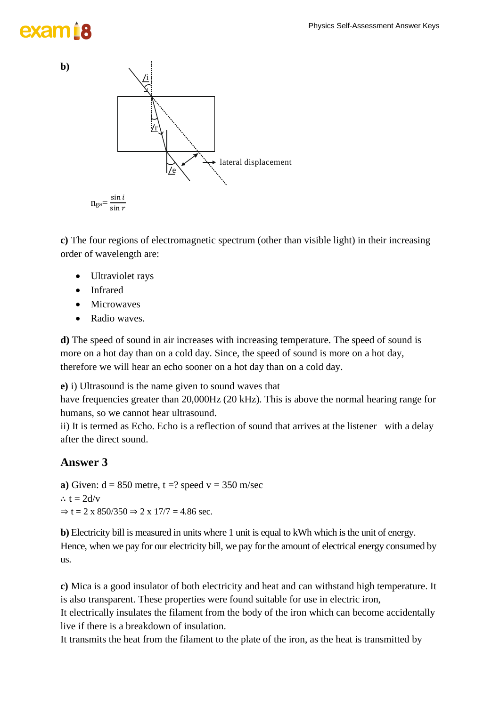

**c)** The four regions of electromagnetic spectrum (other than visible light) in their increasing order of wavelength are:

- Ultraviolet rays
- Infrared
- Microwaves
- Radio waves.

**d)** The speed of sound in air increases with increasing temperature. The speed of sound is more on a hot day than on a cold day. Since, the speed of sound is more on a hot day, therefore we will hear an echo sooner on a hot day than on a cold day.

**e)** i) Ultrasound is the name given to sound waves that

have frequencies greater than 20,000Hz (20 kHz). This is above the normal hearing range for humans, so we cannot hear ultrasound.

ii) It is termed as Echo. Echo is a reflection of sound that arrives at the listener with a delay after the direct sound.

### **Answer 3**

**a**) Given:  $d = 850$  metre,  $t = ?$  speed  $v = 350$  m/sec ∴  $t = 2d/v$  $\Rightarrow$  t = 2 x 850/350  $\Rightarrow$  2 x 17/7 = 4.86 sec.

**b**) Electricity bill is measured in units where 1 unit is equal to kWh which is the unit of energy. Hence, when we pay for our electricity bill, we pay for the amount of electrical energy consumed by us.

**c)** Mica is a good insulator of both electricity and heat and can withstand high temperature. It is also transparent. These properties were found suitable for use in electric iron,

It electrically insulates the filament from the body of the iron which can become accidentally live if there is a breakdown of insulation.

It transmits the heat from the filament to the plate of the iron, as the heat is transmitted by

**b)**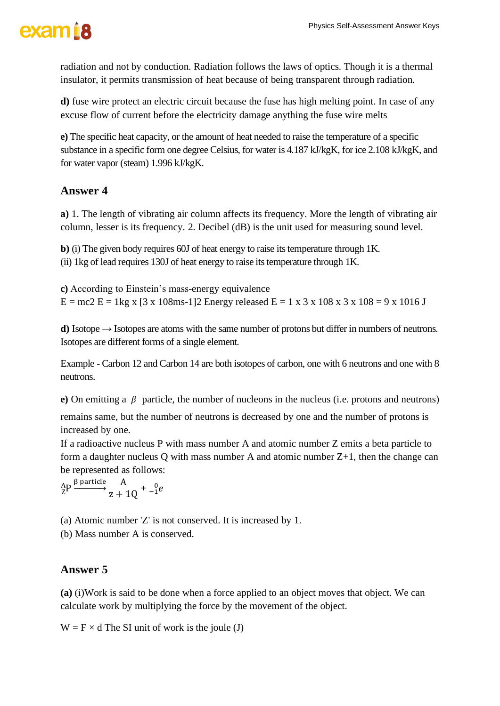radiation and not by conduction. Radiation follows the laws of optics. Though it is a thermal insulator, it permits transmission of heat because of being transparent through radiation.

**d)** fuse wire protect an electric circuit because the fuse has high melting point. In case of any excuse flow of current before the electricity damage anything the fuse wire melts

**e)** The specific heat capacity, or the amount of heat needed to raise the temperature of a specific substance in a specific form one degree Celsius, for water is 4.187 kJ/kgK, for ice 2.108 kJ/kgK, and for water vapor (steam) 1.996 kJ/kgK.

### **Answer 4**

**a)** 1. The length of vibrating air column affects its frequency. More the length of vibrating air column, lesser is its frequency. 2. Decibel (dB) is the unit used for measuring sound level.

**b)** (i) The given body requires 60J of heat energy to raise its temperature through 1K. (ii) 1kg of lead requires 130J of heat energy to raise its temperature through 1K.

**c)** According to Einstein's mass-energy equivalence  $E = mc^2 E = 1$  kg x  $[3 \times 108$ ms-1]2 Energy released  $E = 1 \times 3 \times 108 \times 3 \times 108 = 9 \times 1016$  J

**d)** Isotope → Isotopes are atoms with the same number of protons but differ in numbers of neutrons. Isotopes are different forms of a single element.

Example - Carbon 12 and Carbon 14 are both isotopes of carbon, one with 6 neutrons and one with 8 neutrons.

**e**) On emitting a  $\beta$  particle, the number of nucleons in the nucleus (i.e. protons and neutrons) remains same, but the number of neutrons is decreased by one and the number of protons is increased by one.

If a radioactive nucleus P with mass number A and atomic number Z emits a beta particle to form a daughter nucleus Q with mass number A and atomic number Z+1, then the change can be represented as follows:

 ${}_{Z}^{A}P \xrightarrow{\beta \text{ particle}} {}_{Z}A + 1Q + {}_{-1}^{0}e$ 

(a) Atomic number 'Z' is not conserved. It is increased by 1.

(b) Mass number A is conserved.

### **Answer 5**

**(a)** (i)Work is said to be done when a force applied to an object moves that object. We can calculate work by multiplying the force by the movement of the object.

 $W = F \times d$  The SI unit of work is the joule (J)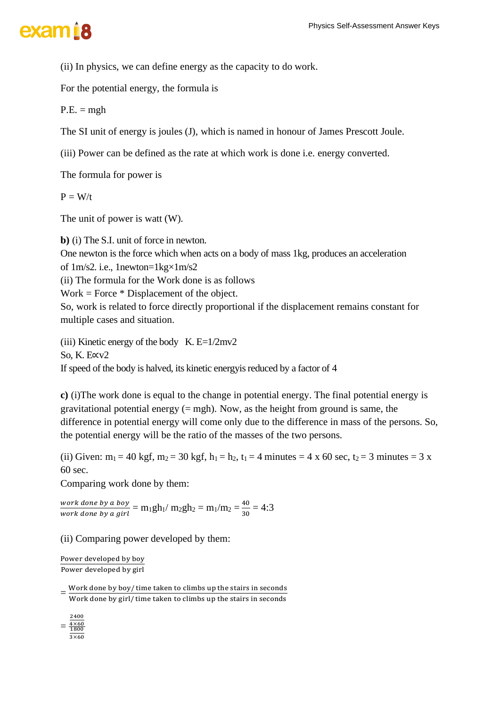### exam<sub>i8</sub>

(ii) In physics, we can define energy as the capacity to do work.

For the potential energy, the formula is

 $P.E. = mgh$ 

The SI unit of energy is joules (J), which is named in honour of James Prescott Joule.

(iii) Power can be defined as the rate at which work is done i.e. energy converted.

The formula for power is

 $P = W/t$ 

The unit of power is watt (W).

**b)** (i) The S.I. unit of force in newton. One newton is the force which when acts on a body of mass 1kg, produces an acceleration of 1m/s2. i.e., 1newton=1kg×1m/s2

(ii) The formula for the Work done is as follows

 $Work = Force * Displacement of the object.$ 

So, work is related to force directly proportional if the displacement remains constant for multiple cases and situation.

(iii) Kinetic energy of the body K.  $E=1/2mv^2$ So, K. E∝v2 If speed of the body is halved, its kinetic energyis reduced by a factor of 4

**c)** (i)The work done is equal to the change in potential energy. The final potential energy is gravitational potential energy  $(= mgh)$ . Now, as the height from ground is same, the difference in potential energy will come only due to the difference in mass of the persons. So, the potential energy will be the ratio of the masses of the two persons.

(ii) Given:  $m_1 = 40$  kgf,  $m_2 = 30$  kgf,  $h_1 = h_2$ ,  $t_1 = 4$  minutes = 4 x 60 sec,  $t_2 = 3$  minutes = 3 x 60 sec.

Comparing work done by them:

work done by a boy  $\frac{work\ done\ by\ a\ boy}{work\ done\ by\ a\ girl'} = m_1gh_1/\ m_2gh_2 = m_1/m_2 = \frac{40}{30}$  $\frac{40}{30}$  = 4:3

(ii) Comparing power developed by them:

Power developed by boy Power developed by girl

 $=\frac{Work\,done\,by\,boy/time\,taken\,to\,climbs\,up\,the\,stairs\,in\,seconds}{West\,down\,to\,to\,rel\,other\,to\,climbs\,with\,stains\,to\,stains\,in\,seconds}$ Work done by girl/ time taken to climbs up the stairs in seconds

 $=\frac{4\times60}{1800}$ 2400  $3\times60$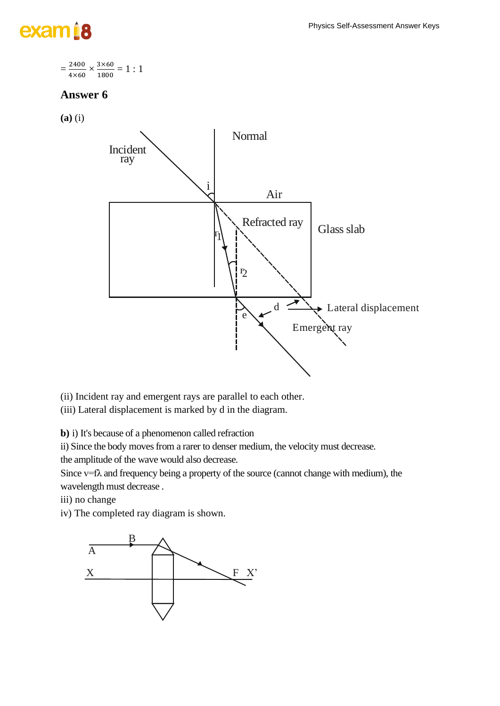## exam<sub>18</sub>

$$
=\frac{2400}{4\times60}\times\frac{3\times60}{1800}=1:1
$$

### **Answer 6**

**(a)** (i)



(ii) Incident ray and emergent rays are parallel to each other.

(iii) Lateral displacement is marked by d in the diagram.

**b)** i) It's because of a phenomenon called refraction

ii) Since the body moves from a rarer to denser medium, the velocity must decrease.

the amplitude of the wave would also decrease.

Since  $v=f\lambda$  and frequency being a property of the source (cannot change with medium), the wavelength must decrease .

iii) no change

iv) The completed ray diagram is shown.

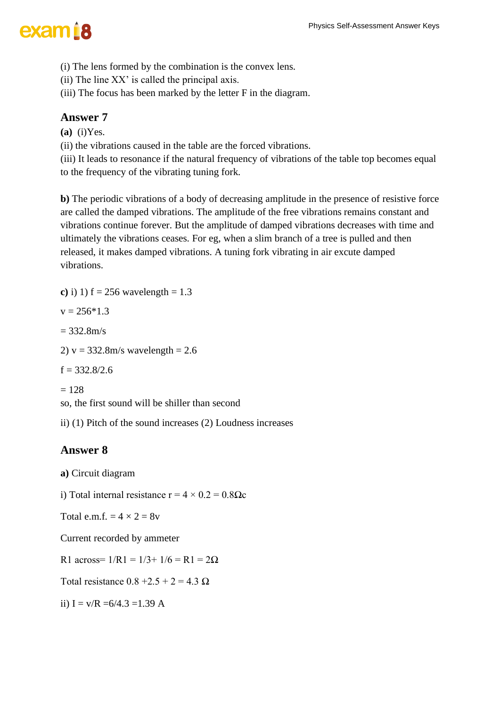(i) The lens formed by the combination is the convex lens.

(ii) The line XX' is called the principal axis.

(iii) The focus has been marked by the letter F in the diagram.

### **Answer 7**

**(a)** (i)Yes.

(ii) the vibrations caused in the table are the forced vibrations.

(iii) It leads to resonance if the natural frequency of vibrations of the table top becomes equal to the frequency of the vibrating tuning fork.

**b)** The periodic vibrations of a body of decreasing amplitude in the presence of resistive force are called the damped vibrations. The amplitude of the free vibrations remains constant and vibrations continue forever. But the amplitude of damped vibrations decreases with time and ultimately the vibrations ceases. For eg, when a slim branch of a tree is pulled and then released, it makes damped vibrations. A tuning fork vibrating in air excute damped vibrations.

**c**) i) 1)  $f = 256$  wavelength = 1.3  $v = 256*1.3$  $= 332.8$ m/s 2)  $v = 332.8$ m/s wavelength = 2.6  $f = 332.8/2.6$  $= 128$ so, the first sound will be shiller than second

ii) (1) Pitch of the sound increases (2) Loudness increases

### **Answer 8**

- **a)** Circuit diagram
- i) Total internal resistance  $r = 4 \times 0.2 = 0.8 \Omega c$
- Total e.m.f.  $= 4 \times 2 = 8v$

Current recorded by ammeter

R1 across=  $1/R1 = 1/3+1/6 = R1 = 2\Omega$ 

Total resistance  $0.8 + 2.5 + 2 = 4.3 \Omega$ 

ii)  $I = v/R = 6/4.3 = 1.39 A$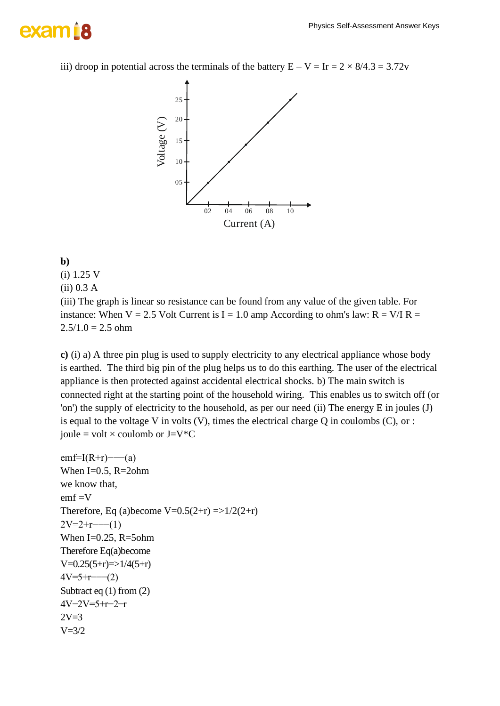## exam B

iii) droop in potential across the terminals of the battery  $E - V = Ir = 2 \times 8/4.3 = 3.72v$ 



#### **b)**

- (i) 1.25 V
- (ii) 0.3 A

(iii) The graph is linear so resistance can be found from any value of the given table. For instance: When  $V = 2.5$  Volt Current is I = 1.0 amp According to ohm's law: R = V/I R =  $2.5/1.0 = 2.5$  ohm

**c)** (i) a) A three pin plug is used to supply electricity to any electrical appliance whose body is earthed. The third big pin of the plug helps us to do this earthing. The user of the electrical appliance is then protected against accidental electrical shocks. b) The main switch is connected right at the starting point of the household wiring. This enables us to switch off (or 'on') the supply of electricity to the household, as per our need (ii) The energy E in joules (J) is equal to the voltage V in volts  $(V)$ , times the electrical charge Q in coulombs  $(C)$ , or : joule = volt  $\times$  coulomb or J=V $^*C$ 

```
emf=I(R+r)−−−(a)
When I=0.5, R=2ohm
we know that,
emf = VTherefore, Eq (a) become V=0.5(2+r) = >1/2(2+r)2V=2+r ----(1)
When I=0.25, R=5ohm
Therefore Eq(a)become
V=0.25(5+r)=>1/4(5+r)4V=5+r ----- (2)
Subtract eq (1) from (2)
4V−2V=5+r−2−r
2V=3V = 3/2
```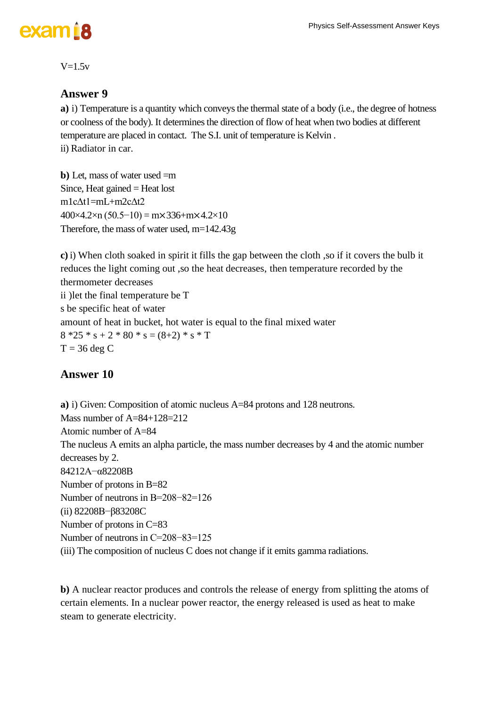#### $V=1.5v$

### **Answer 9**

**a**) i) Temperature is a quantity which conveys the thermal state of a body (i.e., the degree of hotness or coolness of the body). It determinesthe direction of flow of heat when two bodies at different temperature are placed in contact. The S.I. unit of temperature is Kelvin . ii) Radiator in car.

**b)** Let, mass of water used =m Since, Heat gained  $=$  Heat lost m1cΔt1=mL+m2cΔt2  $400\times4.2\times n$  (50.5–10) = m×336+m×4.2×10 Therefore, the mass of water used, m=142.43g

**c)** i) When cloth soaked in spirit it fills the gap between the cloth ,so if it covers the bulb it reduces the light coming out ,so the heat decreases, then temperature recorded by the thermometer decreases ii )let the final temperature be T s be specific heat of water amount of heat in bucket, hot water is equal to the final mixed water  $8 * 25 * s + 2 * 80 * s = (8 + 2) * s * T$  $T = 36$  deg C

### **Answer 10**

**a)** i) Given: Composition of atomic nucleus A=84 protons and 128 neutrons. Mass number of A=84+128=212 Atomic number of  $A=84$ The nucleus A emits an alpha particle, the mass number decreases by 4 and the atomic number decreases by 2. 84212A−α82208B Number of protons in B=82 Number of neutrons in B=208−82=126 (ii) 82208B−β83208C Number of protons in C=83 Number of neutrons in C=208−83=125 (iii) The composition of nucleus C does not change if it emits gamma radiations.

**b)** A nuclear reactor produces and controls the release of energy from splitting the atoms of certain elements. In a nuclear power reactor, the energy released is used as heat to make steam to generate electricity.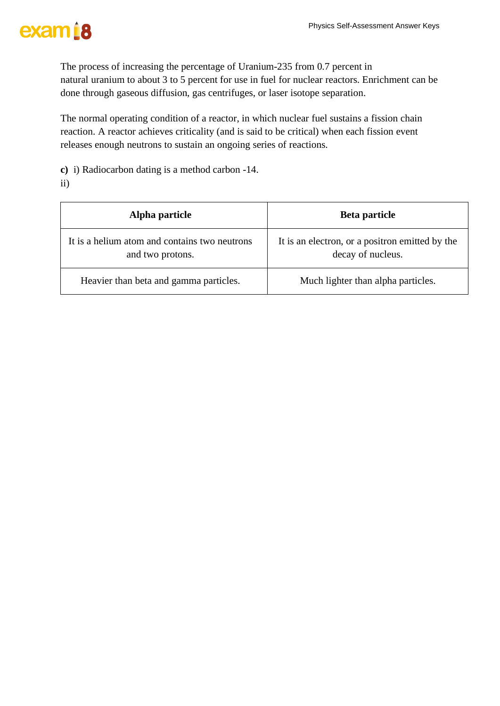## exam<sub>18</sub>

The process of increasing the percentage of Uranium-235 from 0.7 percent in natural uranium to about 3 to 5 percent for use in fuel for nuclear reactors. Enrichment can be done through gaseous diffusion, gas centrifuges, or laser isotope separation.

The normal operating condition of a reactor, in which nuclear fuel sustains a fission chain reaction. A reactor achieves criticality (and is said to be critical) when each fission event releases enough neutrons to sustain an ongoing series of reactions.

**c)** i) Radiocarbon dating is a method carbon -14.

ii)

| Alpha particle                                                    | Beta particle                                                        |
|-------------------------------------------------------------------|----------------------------------------------------------------------|
| It is a helium atom and contains two neutrons<br>and two protons. | It is an electron, or a positron emitted by the<br>decay of nucleus. |
| Heavier than beta and gamma particles.                            | Much lighter than alpha particles.                                   |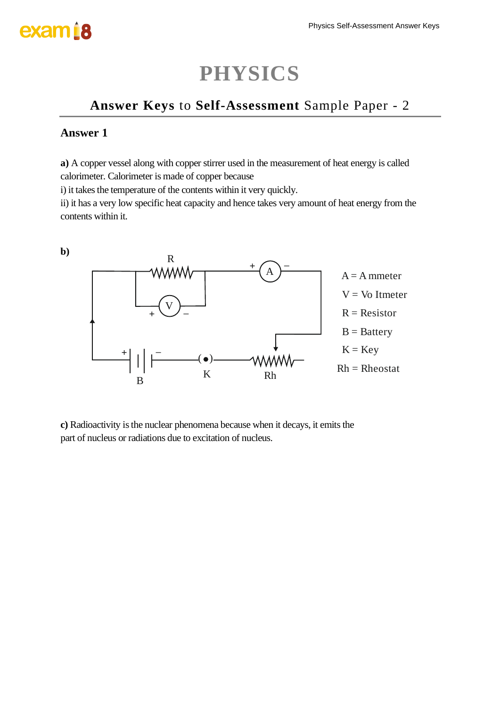### **PHYSICS**

### **Answer Keys** to **Self-Assessment** Sample Paper - 2

#### **Answer 1**

**a)** A copper vessel along with copper stirrer used in the measurement of heat energy is called calorimeter. Calorimeter is made of copper because

i) it takes the temperature of the contents within it very quickly.

ii) it has a very low specific heat capacity and hence takes very amount of heat energy from the contents within it.



**c)** Radioactivity is the nuclear phenomena because when it decays, it emits the part of nucleus or radiations due to excitation of nucleus.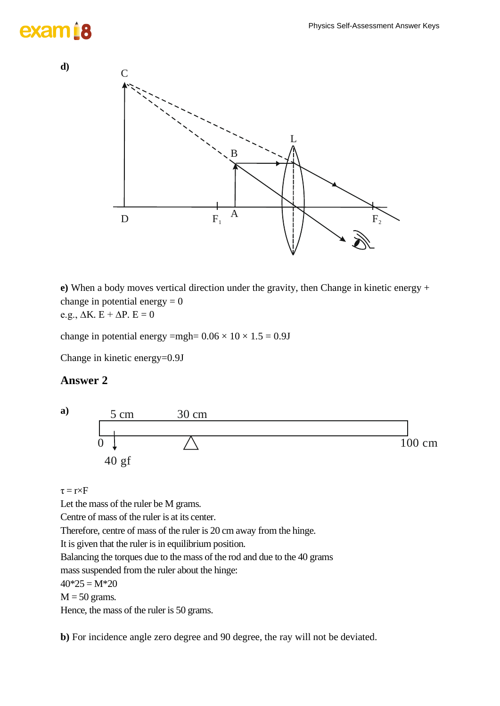## exam 18



**e)** When a body moves vertical direction under the gravity, then Change in kinetic energy + change in potential energy  $= 0$ e.g.,  $\Delta K$ . E +  $\Delta P$ . E = 0

change in potential energy =mgh=  $0.06 \times 10 \times 1.5 = 0.9J$ 

Change in kinetic energy=0.9J

#### **Answer 2**



#### $\tau = r \times F$

Let the mass of the ruler be M grams.

Centre of mass of the ruler is at its center.

Therefore, centre of mass of the ruler is 20 cm away from the hinge.

It is given that the ruler is in equilibrium position.

Balancing the torques due to the mass of the rod and due to the 40 grams

mass suspended from the ruler about the hinge:

 $40*25 = M*20$ 

 $M = 50$  grams.

Hence, the mass of the ruler is 50 grams.

**b**) For incidence angle zero degree and 90 degree, the ray will not be deviated.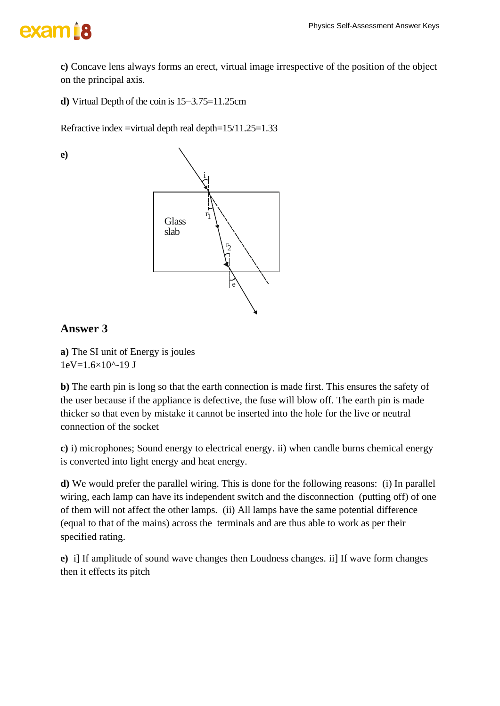### exam B

**c)** Concave lens always forms an erect, virtual image irrespective of the position of the object on the principal axis.

**d)** Virtual Depth of the coin is 15−3.75=11.25cm

Refractive index =virtual depth real depth= $15/11.25=1.33$ 

**e)**



### **Answer 3**

**a)** The SI unit of Energy is joules  $1eV=1.6\times10^{(-19)}$  J

**b)** The earth pin is long so that the earth connection is made first. This ensures the safety of the user because if the appliance is defective, the fuse will blow off. The earth pin is made thicker so that even by mistake it cannot be inserted into the hole for the live or neutral connection of the socket

**c)** i) microphones; Sound energy to electrical energy. ii) when candle burns chemical energy is converted into light energy and heat energy.

**d)** We would prefer the parallel wiring. This is done for the following reasons: (i) In parallel wiring, each lamp can have its independent switch and the disconnection (putting off) of one of them will not affect the other lamps. (ii) All lamps have the same potential difference (equal to that of the mains) across the terminals and are thus able to work as per their specified rating.

**e)** i] If amplitude of sound wave changes then Loudness changes. ii] If wave form changes then it effects its pitch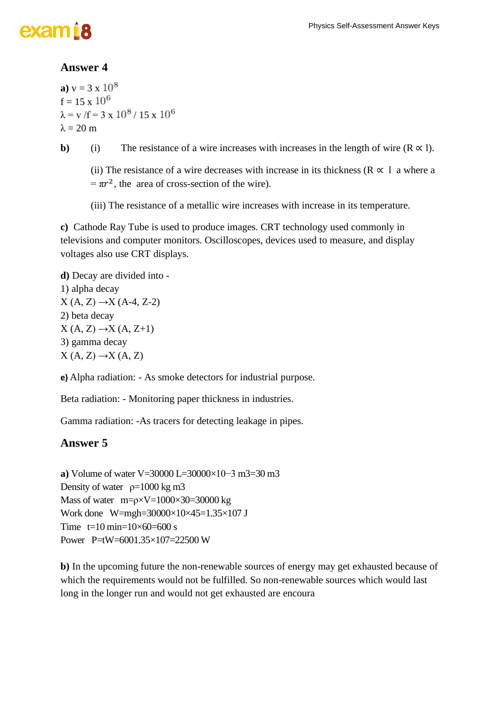#### **Answer 4**

**a**)  $v = 3 \times 10^8$  $f = 15 \times 10^6$  $\lambda = v / f = 3 \times 10^8 / 15 \times 10^6$  $λ = 20$  m

**b**) (i) The resistance of a wire increases with increases in the length of wire  $(R \propto l)$ .

(ii) The resistance of a wire decreases with increase in its thickness ( $R \propto 1$  a where a  $= \pi r^2$ , the area of cross-section of the wire).

(iii) The resistance of a metallic wire increases with increase in its temperature.

**c)** Cathode Ray Tube is used to produce images. CRT technology used commonly in televisions and computer monitors. Oscilloscopes, devices used to measure, and display voltages also use CRT displays.

**d)** Decay are divided into - 1) alpha decay  $X (A, Z) \rightarrow X (A-4, Z-2)$ 2) beta decay  $X (A, Z) \rightarrow X (A, Z+1)$ 3) gamma decay  $X (A, Z) \rightarrow X (A, Z)$ 

**e)** Alpha radiation: - As smoke detectors for industrial purpose.

Beta radiation: - Monitoring paper thickness in industries.

Gamma radiation: -As tracers for detecting leakage in pipes.

#### **Answer 5**

**a**) Volume of water V=30000 L=30000×10−3 m3=30 m3 Density of water  $\rho = 1000 \text{ kg m}^3$ Mass of water  $m = \rho \times V = 1000 \times 30 = 30000$  kg Work done W=mgh=30000×10×45=1.35×107 J Time  $t=10 \text{ min}=10\times60=600 \text{ s}$ Power P=tW=6001.35×107=22500 W

**b)** In the upcoming future the non-renewable sources of energy may get exhausted because of which the requirements would not be fulfilled. So non-renewable sources which would last long in the longer run and would not get exhausted are encoura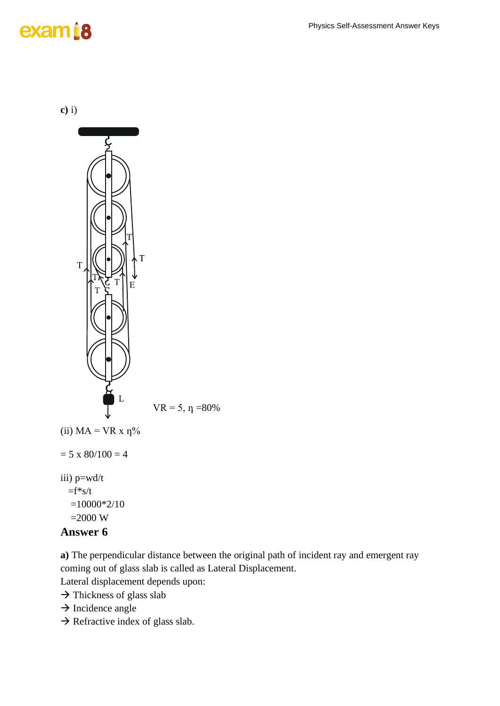### exam<sup>18</sup>

**c)** i)



### =2000 W

#### **Answer 6**

**a)** The perpendicular distance between the original path of incident ray and emergent ray coming out of glass slab is called as Lateral Displacement.

Lateral displacement depends upon:

- → Thickness of glass slab
- $\rightarrow$  Incidence angle
- $\rightarrow$  Refractive index of glass slab.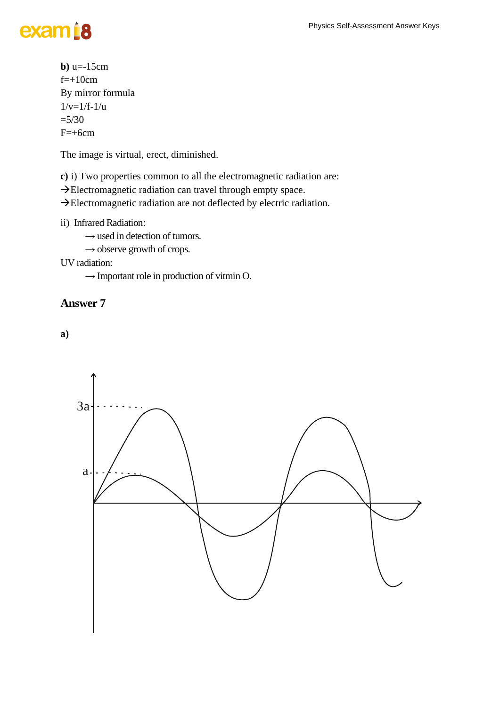## exam<sub>18</sub>

```
b) u=-15cmf=+10cmBy mirror formula
1/v=1/f-1/u=5/30F=+6cm
```
The image is virtual, erect, diminished.

**c)** i) Two properties common to all the electromagnetic radiation are:

→Electromagnetic radiation can travel through empty space.

→Electromagnetic radiation are not deflected by electric radiation.

ii) Infrared Radiation:

 $\rightarrow$  used in detection of tumors.

 $\rightarrow$  observe growth of crops.

UV radiation:

 $\rightarrow$  Important role in production of vitmin O.

#### **Answer 7**

**a)**

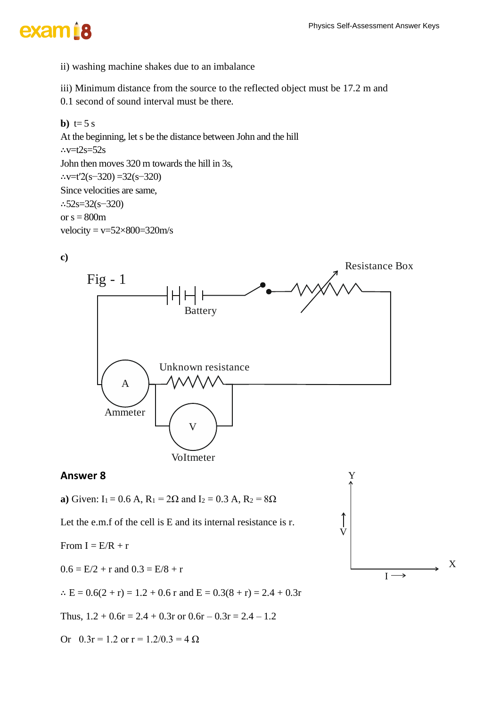### exam<sup>i8</sup>

ii) washing machine shakes due to an imbalance

iii) Minimum distance from the source to the reflected object must be 17.2 m and

0.1 second of sound interval must be there.

**b**)  $t=5 s$ At the beginning, let s be the distance between John and the hill ∴v=t2s=52s John then moves 320 m towards the hill in 3s, ∴v=t′2(s−320) =32(s−320) Since velocities are same, ∴52s=32(s−320) or  $s = 800m$ velocity =  $v=52\times800=320$  m/s





#### **Answer 8**

**a**) Given:  $I_1 = 0.6$  A,  $R_1 = 2\Omega$  and  $I_2 = 0.3$  A,  $R_2 = 8\Omega$ 

Let the e.m.f of the cell is E and its internal resistance is r.

From  $I = E/R + r$ 

 $0.6 = E/2 + r$  and  $0.3 = E/8 + r$ 

∴ E =  $0.6(2 + r) = 1.2 + 0.6$  r and E =  $0.3(8 + r) = 2.4 + 0.3r$ 

Thus,  $1.2 + 0.6r = 2.4 + 0.3r$  or  $0.6r - 0.3r = 2.4 - 1.2$ 

Or  $0.3r = 1.2$  or  $r = 1.2/0.3 = 4 \Omega$ 

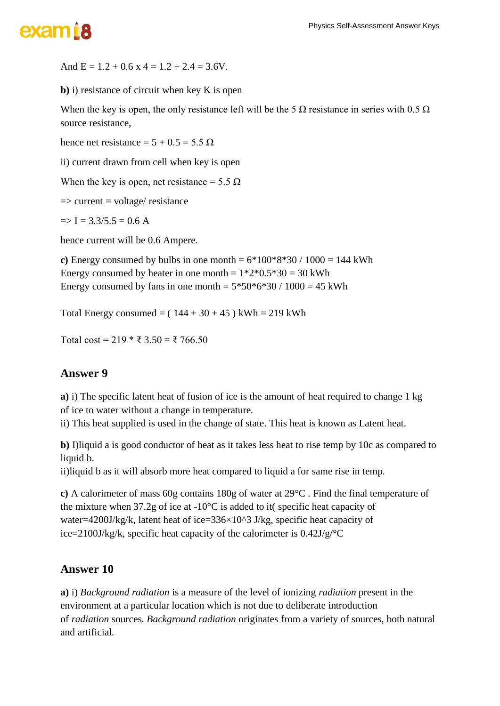And  $E = 1.2 + 0.6$  x  $4 = 1.2 + 2.4 = 3.6$ V.

**b)** i) resistance of circuit when key K is open

When the key is open, the only resistance left will be the 5  $\Omega$  resistance in series with 0.5  $\Omega$ source resistance,

hence net resistance =  $5 + 0.5 = 5.5 \Omega$ 

ii) current drawn from cell when key is open

When the key is open, net resistance =  $5.5 \Omega$ 

 $\Rightarrow$  current = voltage/ resistance

 $\Rightarrow$  I = 3.3/5.5 = 0.6 A

hence current will be 0.6 Ampere.

**c**) Energy consumed by bulbs in one month =  $6*100*8*30 / 1000 = 144$  kWh Energy consumed by heater in one month  $= 1*2*0.5*30 = 30$  kWh Energy consumed by fans in one month  $= 5*50*6*30 / 1000 = 45$  kWh

Total Energy consumed =  $(144 + 30 + 45)$  kWh = 219 kWh

Total cost =  $219 * ₹ 3.50 = ₹ 766.50$ 

#### **Answer 9**

**a)** i) The specific latent heat of fusion of ice is the amount of heat required to change 1 kg of ice to water without a change in temperature.

ii) This heat supplied is used in the change of state. This heat is known as Latent heat.

**b)** I)liquid a is good conductor of heat as it takes less heat to rise temp by 10c as compared to liquid b.

ii)liquid b as it will absorb more heat compared to liquid a for same rise in temp.

**c)** A calorimeter of mass 60g contains 180g of water at 29°C . Find the final temperature of the mixture when 37.2g of ice at -10°C is added to it( specific heat capacity of water=4200J/kg/k, latent heat of ice=336×10^3 J/kg, specific heat capacity of ice=2100J/kg/k, specific heat capacity of the calorimeter is  $0.42J/g$ <sup>o</sup>C

#### **Answer 10**

**a)** i) *Background radiation* is a measure of the level of ionizing *radiation* present in the environment at a particular location which is not due to deliberate introduction of *radiation* sources. *Background radiation* originates from a variety of sources, both natural and artificial.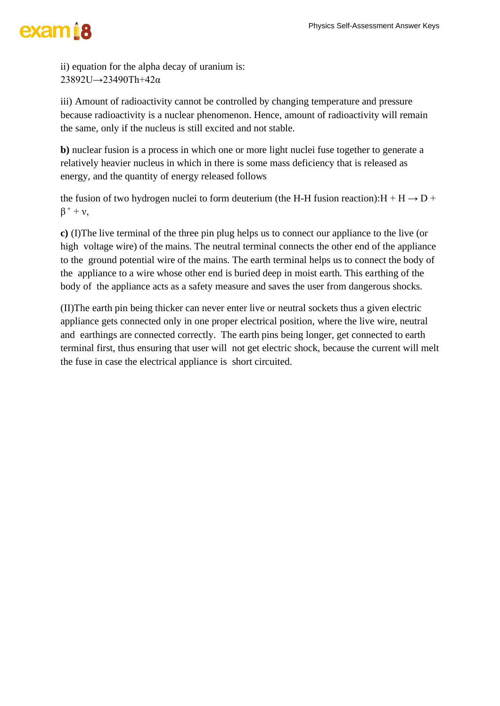ii) equation for the alpha decay of uranium is: 23892U→23490Th+42α

iii) Amount of radioactivity cannot be controlled by changing temperature and pressure because radioactivity is a nuclear phenomenon. Hence, amount of radioactivity will remain the same, only if the nucleus is still excited and not stable.

**b)** nuclear fusion is a process in which one or more light nuclei fuse together to generate a relatively heavier nucleus in which in there is some mass deficiency that is released as energy, and the quantity of energy released follows

the fusion of two hydrogen nuclei to form deuterium (the H-H fusion reaction): $H + H \rightarrow D +$  $\beta^+ + \nu$ ,

**c)** (I)The live terminal of the three pin plug helps us to connect our appliance to the live (or high voltage wire) of the mains. The neutral terminal connects the other end of the appliance to the ground potential wire of the mains. The earth terminal helps us to connect the body of the appliance to a wire whose other end is buried deep in moist earth. This earthing of the body of the appliance acts as a safety measure and saves the user from dangerous shocks.

(II)The earth pin being thicker can never enter live or neutral sockets thus a given electric appliance gets connected only in one proper electrical position, where the live wire, neutral and earthings are connected correctly. The earth pins being longer, get connected to earth terminal first, thus ensuring that user will not get electric shock, because the current will melt the fuse in case the electrical appliance is short circuited.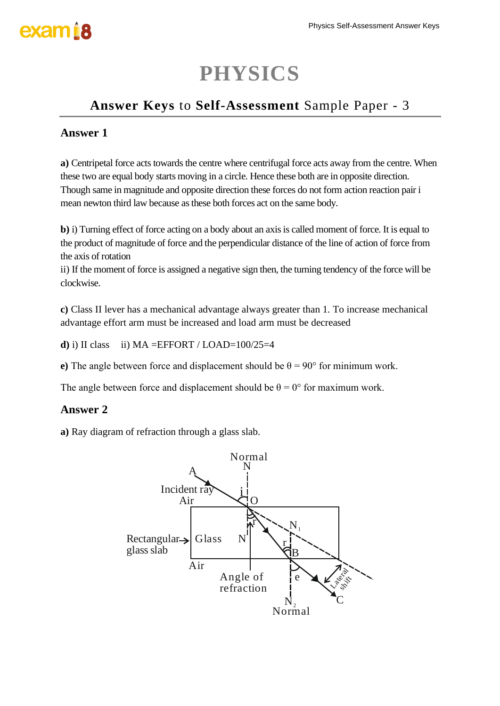### **PHYSICS**

### **Answer Keys** to **Self-Assessment** Sample Paper - 3

### **Answer 1**

**a)** Centripetal force acts towards the centre where centrifugal force acts away from the centre. When these two are equal body starts moving in a circle. Hence these both are in opposite direction. Though same in magnitude and opposite direction these forces do not form action reaction pair i mean newton third law because as these both forces act on the same body.

**b**) i) Turning effect of force acting on a body about an axis is called moment of force. It is equal to the product of magnitude of force and the perpendicular distance of the line of action of force from the axis of rotation

ii) If the moment of force is assigned a negative sign then, the turning tendency of the force will be clockwise.

**c)** Class II lever has a mechanical advantage always greater than 1. To increase mechanical advantage effort arm must be increased and load arm must be decreased

**d**) i) II class ii)  $MA = EFFORT / LOAD = 100/25 = 4$ 

**e**) The angle between force and displacement should be  $\theta = 90^{\circ}$  for minimum work.

The angle between force and displacement should be  $\theta = 0^{\circ}$  for maximum work.

#### **Answer 2**

**a)** Ray diagram of refraction through a glass slab.

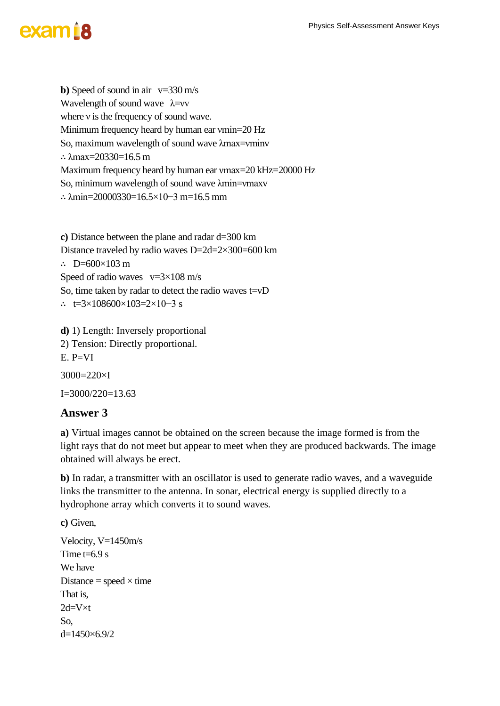**b**) Speed of sound in air  $v=330$  m/s Wavelength of sound wave  $\lambda = vv$ where *v* is the frequency of sound wave. Minimum frequency heard by human ear vmin=20 Hz So, maximum wavelength of sound wave λmax=νminv ∴ λmax=20330=16.5 m Maximum frequency heard by human ear vmax=20 kHz=20000 Hz So, minimum wavelength of sound wave λmin=νmaxv ∴ λmin=20000330=16.5×10−3 m=16.5 mm

**c)** Distance between the plane and radar d=300 km Distance traveled by radio waves D=2d=2×300=600 km ∴ D=600 $\times$ 103 m Speed of radio waves  $v=3\times108$  m/s So, time taken by radar to detect the radio waves t=vD ∴ t=3×108600×103=2×10−3 s

**d)** 1) Length: Inversely proportional 2) Tension: Directly proportional.  $E. P=VI$ 3000=220×I  $I=3000/220=13.63$ 

#### **Answer 3**

**a)** Virtual images cannot be obtained on the screen because the image formed is from the light rays that do not meet but appear to meet when they are produced backwards. The image obtained will always be erect.

**b)** In radar, a transmitter with an oscillator is used to generate radio waves, and a waveguide links the transmitter to the antenna. In sonar, electrical energy is supplied directly to a hydrophone array which converts it to sound waves.

**c)** Given,

```
Velocity, V=1450m/s
Time t=6.9 s
We have
Distance = speed \times time
That is,
2d=V\times tSo,
d=1450\times 6.9/2
```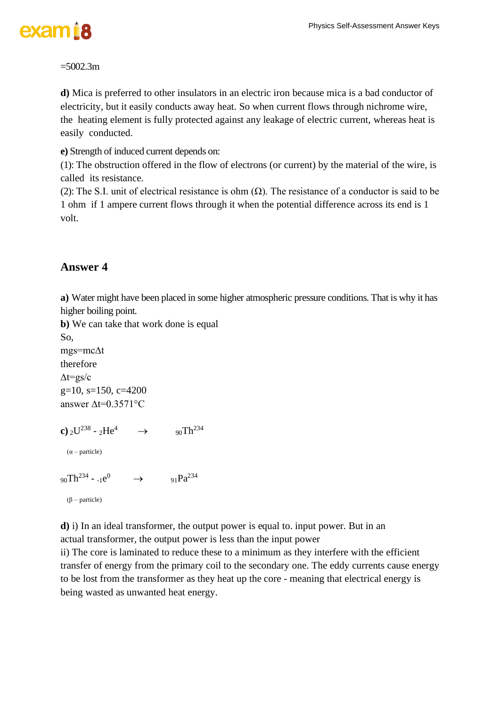

#### $=5002.3m$

**d)** Mica is preferred to other insulators in an electric iron because mica is a bad conductor of electricity, but it easily conducts away heat. So when current flows through nichrome wire, the heating element is fully protected against any leakage of electric current, whereas heat is easily conducted.

**e)** Strength of induced current depends on:

(1): The obstruction offered in the flow of electrons (or current) by the material of the wire, is called its resistance.

(2): The S.I. unit of electrical resistance is ohm  $(\Omega)$ . The resistance of a conductor is said to be 1 ohm if 1 ampere current flows through it when the potential difference across its end is 1 volt.

#### **Answer 4**

**a)** Water might have been placed in some higher atmospheric pressure conditions. That is why it has higher boiling point.

**b)** We can take that work done is equal

So, mgs=mc∆t therefore  $\Delta t = g s/c$ g=10, s=150, c=4200 answer ∆t=0.3571°C

**c**)  $_2$ U<sup>238</sup> -  $_2$ He<sup>4</sup>  $\rightarrow$  90Th<sup>234</sup>  $(\alpha$  – particle)

 $90Th^{234} - 1e^{0} \rightarrow 91Pa^{234}$ 

(β – particle)

**d)** i) In an ideal transformer, the output power is equal to. input power. But in an actual transformer, the output power is less than the input power

ii) The core is laminated to reduce these to a minimum as they interfere with the efficient transfer of energy from the primary coil to the secondary one. The eddy currents cause energy to be lost from the transformer as they heat up the core - meaning that electrical energy is being wasted as unwanted heat energy.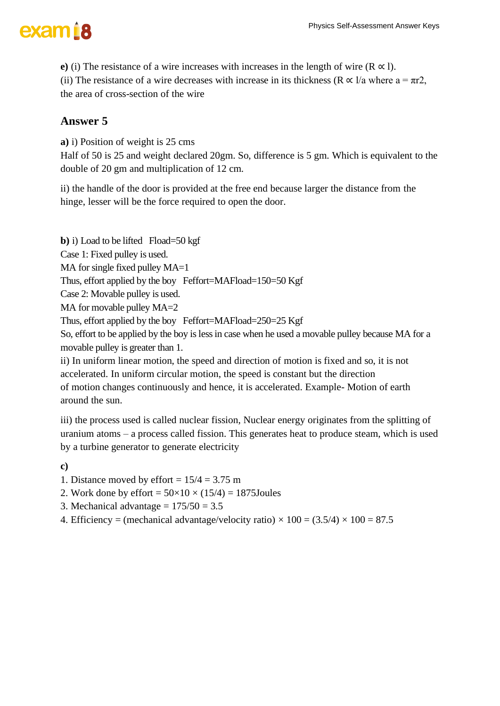**e**) (i) The resistance of a wire increases with increases in the length of wire  $(R \propto l)$ .

(ii) The resistance of a wire decreases with increase in its thickness ( $\mathbb{R} \propto 1/a$  where  $a = \pi r2$ , the area of cross-section of the wire

### **Answer 5**

**a)** i) Position of weight is 25 cms

Half of 50 is 25 and weight declared 20gm. So, difference is 5 gm. Which is equivalent to the double of 20 gm and multiplication of 12 cm.

ii) the handle of the door is provided at the free end because larger the distance from the hinge, lesser will be the force required to open the door.

**b**) i) Load to be lifted Fload=50 kgf

Case 1: Fixed pulley is used.

MA for single fixed pulley MA=1

Thus, effort applied by the boy Feffort=MAFload=150=50 Kgf

Case 2: Movable pulley is used.

MA for movable pulley MA=2

Thus, effort applied by the boy Feffort=MAFload=250=25 Kgf

So, effort to be applied by the boy is less in case when he used a movable pulley because MA for a movable pulley is greater than 1.

ii) In uniform linear motion, the speed and direction of motion is fixed and so, it is not accelerated. In uniform circular motion, the speed is constant but the direction of motion changes continuously and hence, it is accelerated. Example- Motion of earth around the sun.

iii) the process used is called nuclear fission, Nuclear energy originates from the splitting of uranium atoms – a process called fission. This generates heat to produce steam, which is used by a turbine generator to generate electricity

**c)**

1. Distance moved by effort  $= 15/4 = 3.75$  m

- 2. Work done by effort =  $50\times10\times(15/4) = 1875$ Joules
- 3. Mechanical advantage  $= 175/50 = 3.5$
- 4. Efficiency = (mechanical advantage/velocity ratio)  $\times$  100 = (3.5/4)  $\times$  100 = 87.5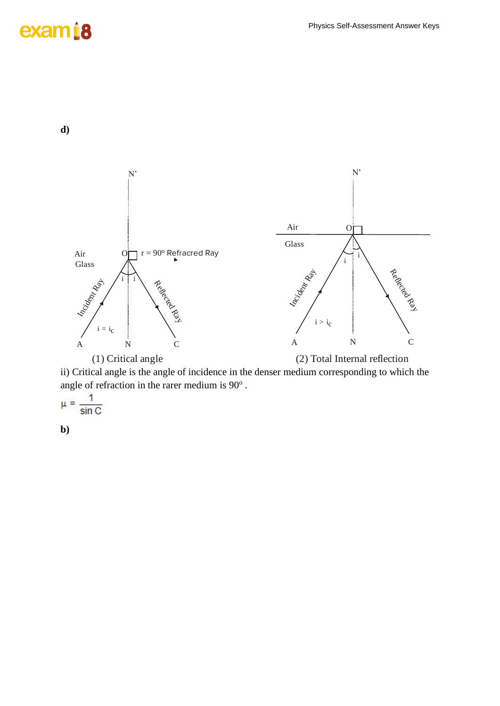### exam<sub>18</sub>

**d)**



ii) Critical angle is the angle of incidence in the denser medium corresponding to which the angle of refraction in the rarer medium is  $90^\circ$ .

 $\mu = \frac{1}{\sin C}$ 

**b)**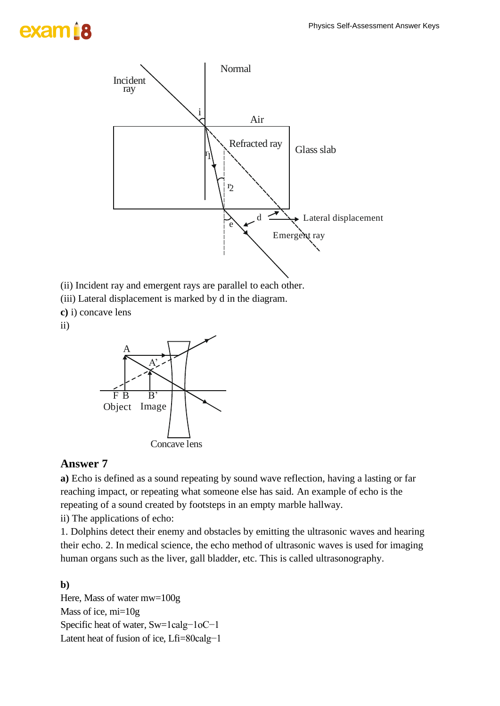# exam B



(ii) Incident ray and emergent rays are parallel to each other.

- (iii) Lateral displacement is marked by d in the diagram.
- **c)** i) concave lens

ii)



#### **Answer 7**

**a)** Echo is defined as a sound repeating by sound wave reflection, having a lasting or far reaching impact, or repeating what someone else has said. An example of echo is the repeating of a sound created by footsteps in an empty marble hallway.

ii) The applications of echo:

1. Dolphins detect their enemy and obstacles by emitting the ultrasonic waves and hearing their echo. 2. In medical science, the echo method of ultrasonic waves is used for imaging human organs such as the liver, gall bladder, etc. This is called ultrasonography.

**b)** 

Here, Mass of water mw=100g Mass of ice, mi=10g Specific heat of water, Sw=1calg−1oC−1 Latent heat of fusion of ice, Lfi=80calg−1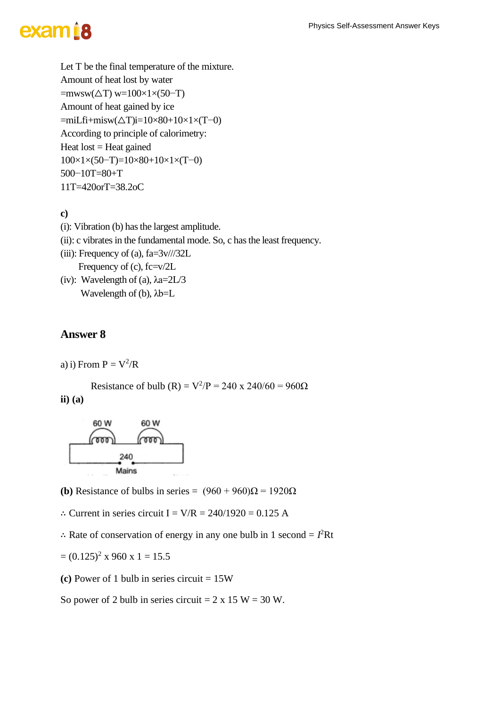Let T be the final temperature of the mixture. Amount of heat lost by water  $=$ mwsw( $\Delta T$ ) w=100×1×(50–T) Amount of heat gained by ice =miLfi+misw(△T)i=10×80+10×1×(T−0) According to principle of calorimetry: Heat  $lost = Heat$  gained 100×1×(50−T)=10×80+10×1×(T−0) 500−10T=80+T 11T=420orT=38.2oC

#### **c)**

- (i): Vibration (b) has the largest amplitude.
- (ii): c vibrates in the fundamental mode. So, c has the least frequency.
- (iii): Frequency of (a),  $fa=3v/732L$ Frequency of (c), fc=v/2L
- (iv): Wavelength of (a),  $\lambda$ a=2L/3 Wavelength of (b),  $\lambda b = L$

#### **Answer 8**

a) i) From  $P = V^2/R$ 

Resistance of bulb (R) =  $V^2/P = 240 \times 240/60 = 960\Omega$ **ii) (a)**



- **(b)** Resistance of bulbs in series =  $(960 + 960)\Omega = 1920\Omega$
- ∴ Current in series circuit I =  $V/R = 240/1920 = 0.125$  A
- ∴ Rate of conservation of energy in any one bulb in 1 second =  $I^2$ Rt

$$
= (0.125)^2 \times 960 \times 1 = 15.5
$$

**(c)** Power of 1 bulb in series circuit = 15W

So power of 2 bulb in series circuit =  $2 \times 15$  W = 30 W.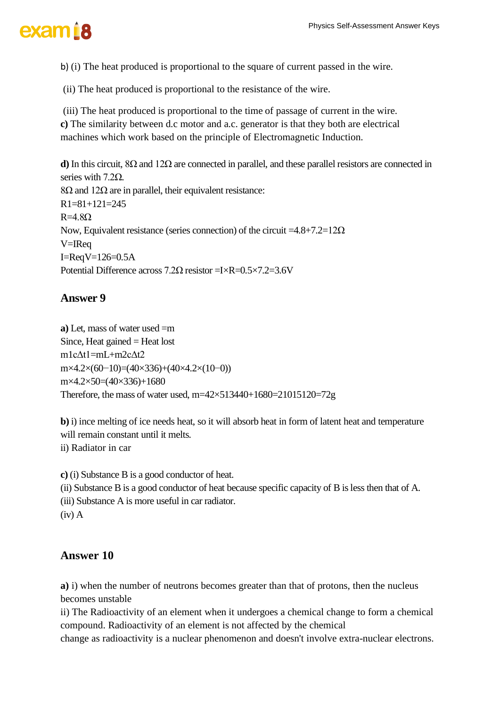b) (i) The heat produced is proportional to the square of current passed in the wire.

(ii) The heat produced is proportional to the resistance of the wire.

(iii) The heat produced is proportional to the time of passage of current in the wire. **c)** The similarity between d.c motor and a.c. generator is that they both are electrical machines which work based on the principle of Electromagnetic Induction.

**d)** In this circuit, 8Ω and 12Ω are connected in parallel, and these parallel resistors are connected in series with 7.2Ω. 8Ω and  $12Ω$  are in parallel, their equivalent resistance: R1=81+121=245  $R=4.8Q$ Now, Equivalent resistance (series connection) of the circuit =4.8+7.2=12Ω V=IReq I=ReqV=126=0.5A Potential Difference across 7.2Ω resistor =I×R=0.5×7.2=3.6V

### **Answer 9**

**a)** Let, mass of water used =m Since, Heat gained  $=$  Heat lost m1cΔt1=mL+m2cΔt2 m×4.2×(60−10)=(40×336)+(40×4.2×(10−0)) m×4.2×50=(40×336)+1680 Therefore, the mass of water used, m=42×513440+1680=21015120=72g

**b**) i) ince melting of ice needs heat, so it will absorb heat in form of latent heat and temperature will remain constant until it melts. ii) Radiator in car

**c)** (i) Substance B is a good conductor of heat. (ii) Substance B is a good conductor of heat because specific capacity of B islessthen that of A. (iii) Substance A is more useful in car radiator. (iv) A

### **Answer 10**

**a)** i) when the number of neutrons becomes greater than that of protons, then the nucleus becomes unstable

ii) The Radioactivity of an element when it undergoes a chemical change to form a chemical compound. Radioactivity of an element is not affected by the chemical

change as radioactivity is a nuclear phenomenon and doesn't involve extra-nuclear electrons.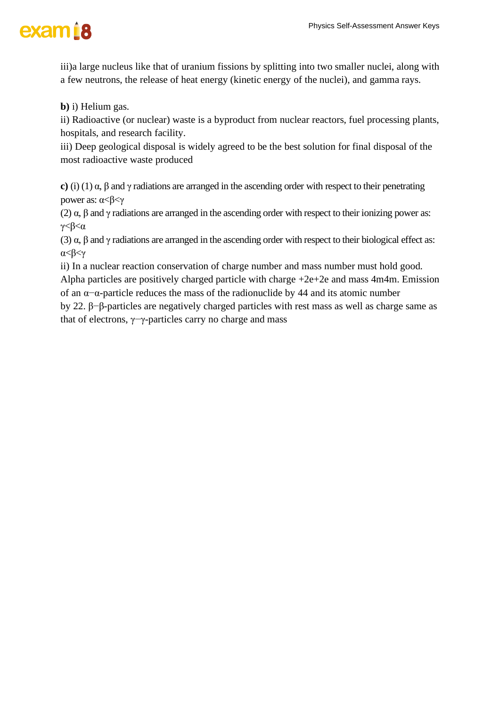

iii)a large nucleus like that of uranium fissions by splitting into two smaller nuclei, along with a few neutrons, the release of heat energy (kinetic energy of the nuclei), and gamma rays.

**b)** i) Helium gas.

ii) Radioactive (or nuclear) waste is a byproduct from nuclear reactors, fuel processing plants, hospitals, and research facility.

iii) Deep geological disposal is widely agreed to be the best solution for final disposal of the most radioactive waste produced

**c)** (i) (1) α, β and γ radiations are arranged in the ascending order with respect to their penetrating power as: α<β<γ

(2)  $\alpha$ ,  $\beta$  and γ radiations are arranged in the ascending order with respect to their ionizing power as:  $\gamma < \beta < \alpha$ 

(3) α, β and γ radiations are arranged in the ascending order with respect to their biological effect as: α<β<γ

ii) In a nuclear reaction conservation of charge number and mass number must hold good. Alpha particles are positively charged particle with charge  $+2e+2e$  and mass 4m4m. Emission of an α−α-particle reduces the mass of the radionuclide by 44 and its atomic number

by 22. β−β-particles are negatively charged particles with rest mass as well as charge same as that of electrons, γ−γ-particles carry no charge and mass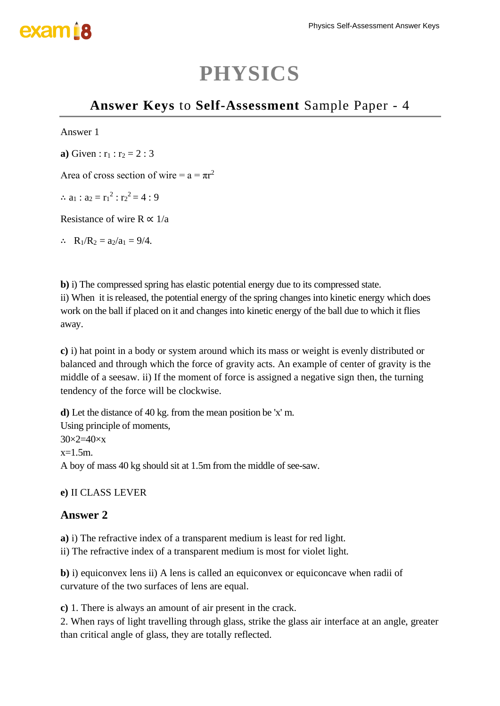## exam B

### **PHYSICS**

### **Answer Keys** to **Self-Assessment** Sample Paper - 4

#### Answer 1

**a**) Given :  $r_1$  :  $r_2$  = 2 : 3

Area of cross section of wire =  $a = \pi r^2$ 

∴  $a_1 : a_2 = r_1^2 : r_2^2 = 4 : 9$ 

Resistance of wire R  $\alpha$  1/a

∴ R<sub>1</sub>/R<sub>2</sub> = a<sub>2</sub>/a<sub>1</sub> = 9/4.

**b**) i) The compressed spring has elastic potential energy due to its compressed state. ii) When it is released, the potential energy of the spring changes into kinetic energy which does work on the ball if placed on it and changes into kinetic energy of the ball due to which it flies away.

**c)** i) hat point in a body or system around which its mass or weight is evenly distributed or balanced and through which the force of gravity acts. An example of center of gravity is the middle of a seesaw. ii) If the moment of force is assigned a negative sign then, the turning tendency of the force will be clockwise.

**d)** Let the distance of 40 kg. from the mean position be 'x' m. Using principle of moments,  $30\times2=40\times x$  $x=1.5m$ . A boy of mass 40 kg should sit at 1.5m from the middle of see-saw.

#### **e)** II CLASS LEVER

#### **Answer 2**

**a)** i) The refractive index of a transparent medium is least for red light. ii) The refractive index of a transparent medium is most for violet light.

**b**) i) equiconvex lens ii) A lens is called an equiconvex or equiconcave when radii of curvature of the two surfaces of lens are equal.

**c)** 1. There is always an amount of air present in the crack.

2. When rays of light travelling through glass, strike the glass air interface at an angle, greater than critical angle of glass, they are totally reflected.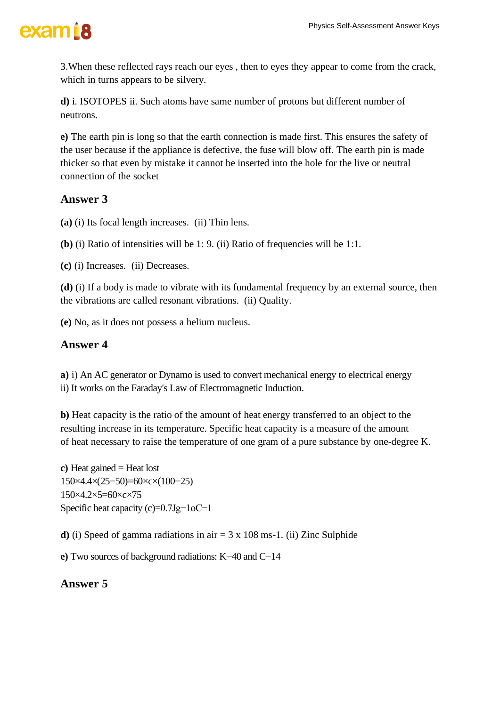

3.When these reflected rays reach our eyes , then to eyes they appear to come from the crack, which in turns appears to be silvery.

**d)** i. ISOTOPES ii. Such atoms have same number of protons but different number of neutrons.

**e)** The earth pin is long so that the earth connection is made first. This ensures the safety of the user because if the appliance is defective, the fuse will blow off. The earth pin is made thicker so that even by mistake it cannot be inserted into the hole for the live or neutral connection of the socket

#### **Answer 3**

**(a)** (i) Its focal length increases. (ii) Thin lens.

**(b)** (i) Ratio of intensities will be 1: 9. (ii) Ratio of frequencies will be 1:1.

**(c)** (i) Increases. (ii) Decreases.

**(d)** (i) If a body is made to vibrate with its fundamental frequency by an external source, then the vibrations are called resonant vibrations. (ii) Quality.

**(e)** No, as it does not possess a helium nucleus.

#### **Answer 4**

**a)** i) An AC generator or Dynamo is used to convert mechanical energy to electrical energy ii) It works on the Faraday's Law of Electromagnetic Induction.

**b)** Heat capacity is the ratio of the amount of heat energy transferred to an object to the resulting increase in its temperature. Specific heat capacity is a measure of the amount of heat necessary to raise the temperature of one gram of a pure substance by one-degree K.

**c)** Heat gained = Heat lost 150×4.4×(25−50)=60×c×(100−25) 150×4.2×5=60×c×75 Specific heat capacity (c)=0.7Jg−1oC−1

**d**) (i) Speed of gamma radiations in air  $= 3 \times 108$  ms-1. (ii) Zinc Sulphide

**e)** Two sources of background radiations: K−40 and C−14

#### **Answer 5**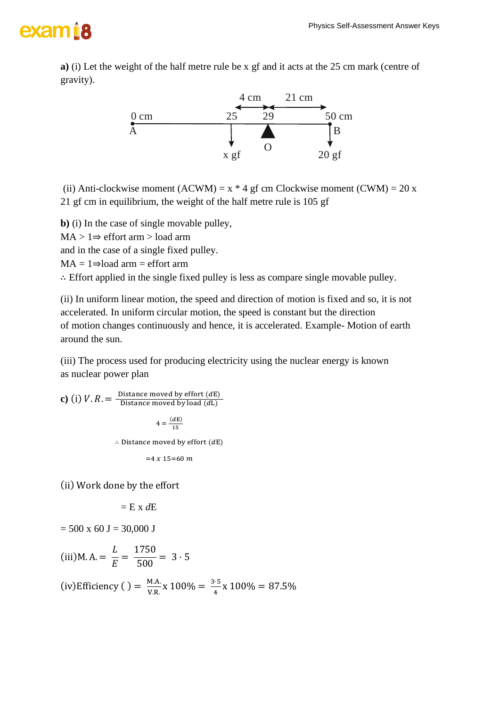**a)** (i) Let the weight of the half metre rule be x gf and it acts at the 25 cm mark (centre of gravity).



(ii) Anti-clockwise moment (ACWM) =  $x * 4$  gf cm Clockwise moment (CWM) = 20 x 21 gf cm in equilibrium, the weight of the half metre rule is 105 gf

**b)** (i) In the case of single movable pulley, MA > 1⇒ effort arm > load arm and in the case of a single fixed pulley.  $MA = 1 \Rightarrow$ load arm = effort arm

∴ Effort applied in the single fixed pulley is less as compare single movable pulley.

(ii) In uniform linear motion, the speed and direction of motion is fixed and so, it is not accelerated. In uniform circular motion, the speed is constant but the direction of motion changes continuously and hence, it is accelerated. Example- Motion of earth around the sun.

(iii) The process used for producing electricity using the nuclear energy is known as nuclear power plan

**c**) (i)  $V \cdot R = \frac{\text{Distance moved by effort (dE)}}{\text{Distance moved by load (dI)}}$ Distance moved by load  $(dL)$  $4 = \frac{(dE)}{15}$ 15  $\therefore$  Distance moved by effort ( $dE$ )  $=4 x 15=60 m$ 

(ii) Work done by the effort

$$
= E \times dE
$$

 $= 500 \times 60 \text{ J} = 30,000 \text{ J}$ 

(iii) M. A. = 
$$
\frac{L}{E}
$$
 =  $\frac{1750}{500}$  = 3.5

(iv)Efficiency () =  $\frac{M.A.}{N.P.}$  $\frac{M.A.}{V.R.}$  x 100% =  $\frac{3.5}{4}$  $\frac{1}{4}$  x 100% = 87.5%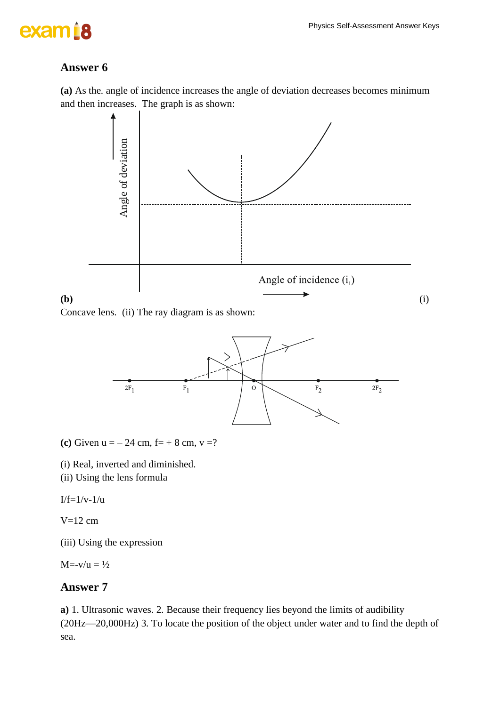### exam<sub>18</sub>

### **Answer 6**

**(a)** As the. angle of incidence increases the angle of deviation decreases becomes minimum and then increases. The graph is as shown:



Concave lens. (ii) The ray diagram is as shown:



**(c)** Given  $u = -24$  cm,  $f = +8$  cm,  $v = ?$ 

(i) Real, inverted and diminished.

(ii) Using the lens formula

 $I/f=1/v-1/u$ 

 $V=12$  cm

(iii) Using the expression

 $M = -v/u = \frac{1}{2}$ 

#### **Answer 7**

**a)** 1. Ultrasonic waves. 2. Because their frequency lies beyond the limits of audibility (20Hz—20,000Hz) 3. To locate the position of the object under water and to find the depth of sea.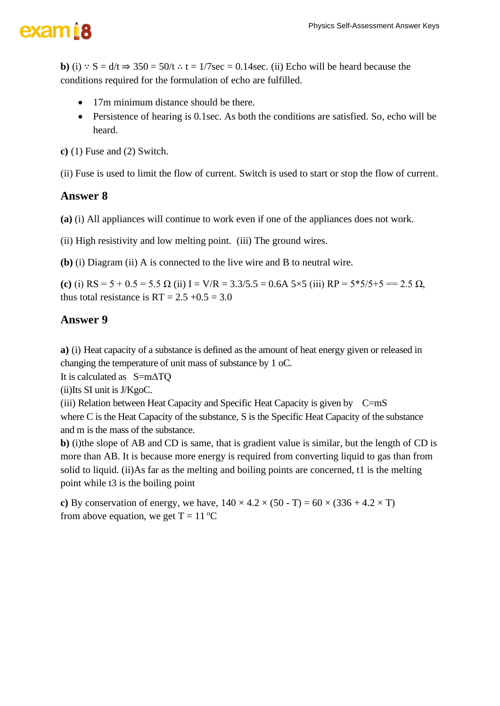**b**) (i) :  $S = d/t \Rightarrow 350 = 50/t$  ∴ t = 1/7sec = 0.14sec. (ii) Echo will be heard because the conditions required for the formulation of echo are fulfilled.

- 17m minimum distance should be there.
- Persistence of hearing is 0.1sec. As both the conditions are satisfied. So, echo will be heard.

**c)** (1) Fuse and (2) Switch.

(ii) Fuse is used to limit the flow of current. Switch is used to start or stop the flow of current.

#### **Answer 8**

**(a)** (i) All appliances will continue to work even if one of the appliances does not work.

(ii) High resistivity and low melting point. (iii) The ground wires.

**(b)** (i) Diagram (ii) A is connected to the live wire and B to neutral wire.

**(c)** (i)  $RS = 5 + 0.5 = 5.5 \Omega$  (ii)  $I = V/R = 3.3/5.5 = 0.6A \frac{5}{5} \times 5$  (iii)  $RP = 5*5/5+5 == 2.5 \Omega$ , thus total resistance is  $RT = 2.5 +0.5 = 3.0$ 

#### **Answer 9**

**a)** (i) Heat capacity of a substance is defined as the amount of heat energy given or released in changing the temperature of unit mass of substance by 1 oC.

It is calculated as S=mΔTQ

(ii)Its SI unit is J/KgoC.

(iii) Relation between Heat Capacity and Specific Heat Capacity is given by C=mS where C is the Heat Capacity of the substance, S is the Specific Heat Capacity of the substance and m is the mass of the substance.

**b)** (i)the slope of AB and CD is same, that is gradient value is similar, but the length of CD is more than AB. It is because more energy is required from converting liquid to gas than from solid to liquid. (ii)As far as the melting and boiling points are concerned, t1 is the melting point while t3 is the boiling point

**c**) By conservation of energy, we have,  $140 \times 4.2 \times (50 - T) = 60 \times (336 + 4.2 \times T)$ from above equation, we get  $T = 11 \degree C$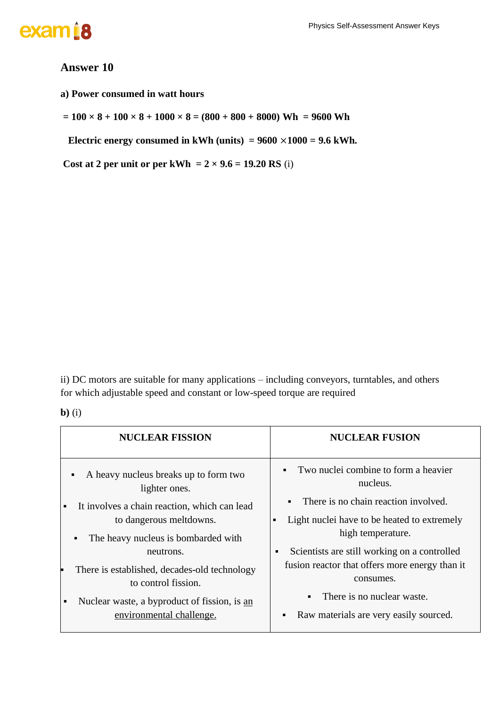### exam<sup>i8</sup>

#### **Answer 10**

**a) Power consumed in watt hours** 

 $= 100 \times 8 + 100 \times 8 + 1000 \times 8 = (800 + 800 + 8000)$  Wh = 9600 Wh

 **Electric energy consumed in kWh (units) =**  $9600 \times 1000 = 9.6$  **kWh.** 

Cost at 2 per unit or per kWh =  $2 \times 9.6 = 19.20$  RS (i)

ii) DC motors are suitable for many applications – including conveyors, turntables, and others for which adjustable speed and constant or low-speed torque are required

#### **b)** (i)

| <b>NUCLEAR FISSION</b>                                              | <b>NUCLEAR FUSION</b>                                          |
|---------------------------------------------------------------------|----------------------------------------------------------------|
| A heavy nucleus breaks up to form two<br>٠<br>lighter ones.         | Two nuclei combine to form a heavier<br>nucleus.               |
| It involves a chain reaction, which can lead<br>$\blacksquare$      | There is no chain reaction involved.<br>$\blacksquare$         |
| to dangerous meltdowns.                                             | Light nuclei have to be heated to extremely                    |
| The heavy nucleus is bombarded with<br>٠                            | high temperature.                                              |
| neutrons.                                                           | Scientists are still working on a controlled<br>$\blacksquare$ |
| There is established, decades-old technology<br>to control fission. | fusion reactor that offers more energy than it<br>consumes.    |
| Nuclear waste, a byproduct of fission, is an<br>$\blacksquare$      | There is no nuclear waste.<br>$\blacksquare$                   |
| environmental challenge.                                            | Raw materials are very easily sourced.<br>$\blacksquare$       |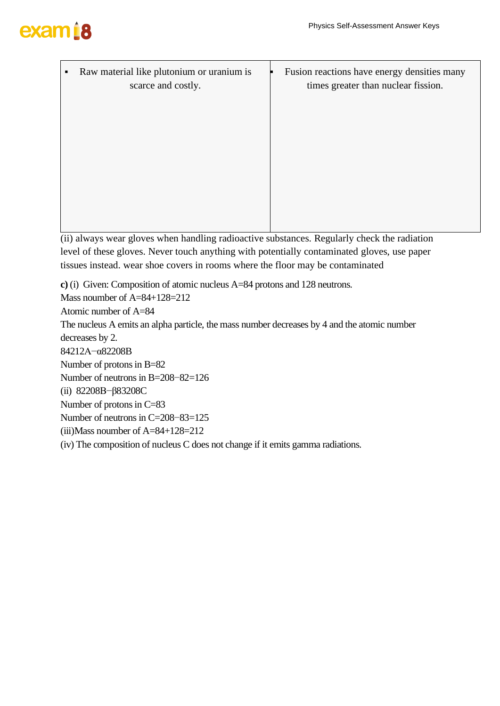# exam<sub>18</sub>

Raw material like plutonium or uranium is scarce and costly.

Fusion reactions have energy densities many times greater than nuclear fission.

(ii) always wear gloves when handling radioactive substances. Regularly check the radiation level of these gloves. Never touch anything with potentially contaminated gloves, use paper tissues instead. wear shoe covers in rooms where the floor may be contaminated

**c)** (i) Given: Composition of atomic nucleus A=84 protons and 128 neutrons. Mass noumber of A=84+128=212 Atomic number of A=84 The nucleus A emits an alpha particle, the mass number decreases by 4 and the atomic number decreases by 2. 84212A−α82208B Number of protons in B=82 Number of neutrons in B=208–82=126 (ii) 82208B−β83208C Number of protons in C=83 Number of neutrons in C=208–83=125 (iii)Mass noumber of A=84+128=212 (iv) The composition of nucleus C does not change if it emits gamma radiations.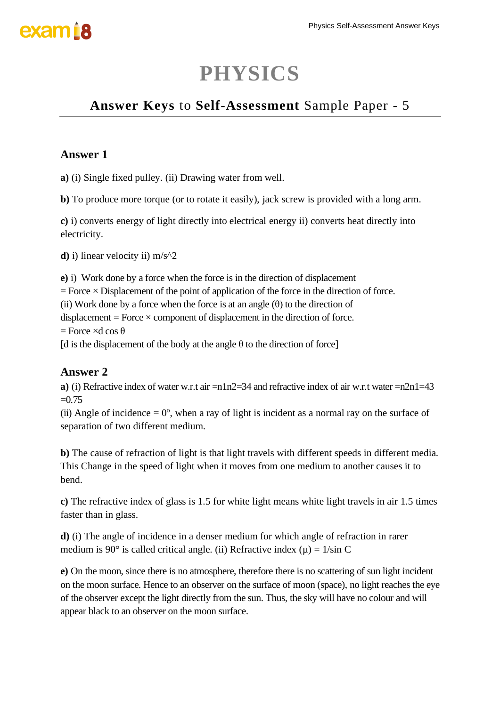### **PHYSICS**

### **Answer Keys** to **Self-Assessment** Sample Paper - 5

### **Answer 1**

**a)** (i) Single fixed pulley. (ii) Drawing water from well.

**b)** To produce more torque (or to rotate it easily), jack screw is provided with a long arm.

**c)** i) converts energy of light directly into electrical energy ii) converts heat directly into electricity.

**d)** i) linear velocity ii) m/s^2

**e)** i) Work done by a force when the force is in the direction of displacement  $=$  Force  $\times$  Displacement of the point of application of the force in the direction of force. (ii) Work done by a force when the force is at an angle  $(\theta)$  to the direction of displacement = Force  $\times$  component of displacement in the direction of force.  $=$  Force  $\times$ d cos  $\theta$ [d is the displacement of the body at the angle  $\theta$  to the direction of force]

### **Answer 2**

**a**) (i) Refractive index of water w.r.t air  $=n1n2=34$  and refractive index of air w.r.t water  $=n2n1=43$  $=0.75$ 

(ii) Angle of incidence  $= 0^{\circ}$ , when a ray of light is incident as a normal ray on the surface of separation of two different medium.

**b)** The cause of refraction of light is that light travels with different speeds in different media. This Change in the speed of light when it moves from one medium to another causes it to bend.

**c)** The refractive index of glass is 1.5 for white light means white light travels in air 1.5 times faster than in glass.

**d)** (i) The angle of incidence in a denser medium for which angle of refraction in rarer medium is 90 $\degree$  is called critical angle. (ii) Refractive index ( $\mu$ ) = 1/sin C

**e)** On the moon, since there is no atmosphere, therefore there is no scattering of sun light incident on the moon surface. Hence to an observer on the surface of moon (space), no light reaches the eye of the observer except the light directly from the sun. Thus, the sky will have no colour and will appear black to an observer on the moon surface.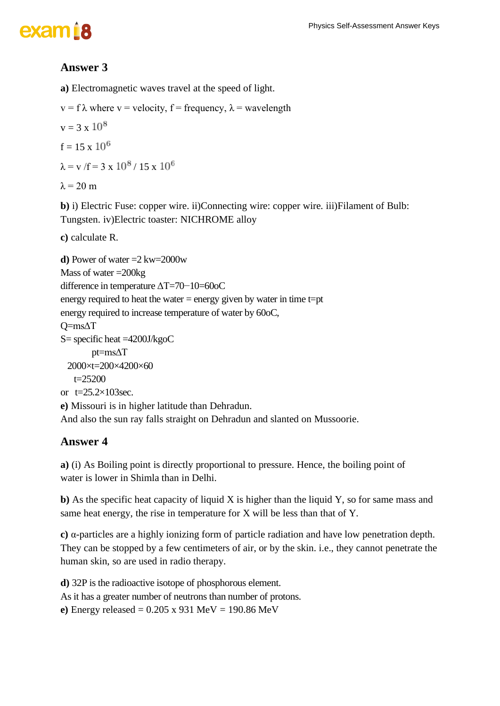### exam<sub>i8</sub>

### **Answer 3**

**a)** Electromagnetic waves travel at the speed of light.

```
v = f \lambda where v = velocity, f = frequency, \lambda = wavelength
```

```
v = 3 \times 10^8
```

$$
f = 15 \times 10^6
$$

 $\lambda = v / f = 3 \times 10^8 / 15 \times 10^6$ 

 $λ = 20$  m

**b)** i) Electric Fuse: copper wire. ii)Connecting wire: copper wire. iii)Filament of Bulb: Tungsten. iv)Electric toaster: NICHROME alloy

**c)** calculate R.

```
d) Power of water =2 kw=2000w
Mass of water =200kg
difference in temperature ΔT=70−10=60oC
energy required to heat the water = energy given by water in time t=pt
energy required to increase temperature of water by 60oC,
Q=msΔT
S= specific heat =4200J/kgoC
        pt=msΔT
 2000×t=200×4200×60
   t=25200or t=25.2×103sec.
e) Missouri is in higher latitude than Dehradun.
And also the sun ray falls straight on Dehradun and slanted on Mussoorie.
```
### **Answer 4**

**a)** (i) As Boiling point is directly proportional to pressure. Hence, the boiling point of water is lower in Shimla than in Delhi.

**b**) As the specific heat capacity of liquid X is higher than the liquid Y, so for same mass and same heat energy, the rise in temperature for X will be less than that of Y.

**c)** α-particles are a highly ionizing form of particle radiation and have low penetration depth. They can be stopped by a few centimeters of air, or by the skin. i.e., they cannot penetrate the human skin, so are used in radio therapy.

**d)** 32P is the radioactive isotope of phosphorous element. As it has a greater number of neutrons than number of protons. **e)** Energy released = 0.205 x 931 MeV = 190.86 MeV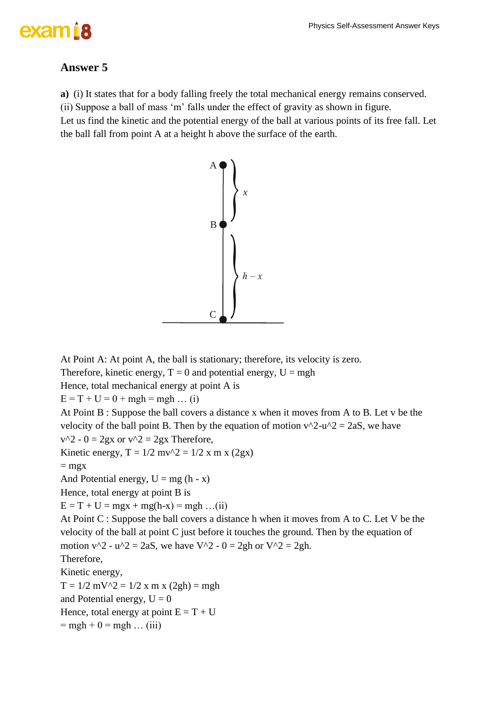### exam 18

### **Answer 5**

**a)** (i) It states that for a body falling freely the total mechanical energy remains conserved.

(ii) Suppose a ball of mass 'm' falls under the effect of gravity as shown in figure.

Let us find the kinetic and the potential energy of the ball at various points of its free fall. Let the ball fall from point A at a height h above the surface of the earth.



At Point A: At point A, the ball is stationary; therefore, its velocity is zero.

Therefore, kinetic energy,  $T = 0$  and potential energy,  $U = mgh$ 

Hence, total mechanical energy at point A is

 $E = T + U = 0 + mgh = mgh ... (i)$ 

At Point B : Suppose the ball covers a distance x when it moves from A to B. Let v be the velocity of the ball point B. Then by the equation of motion  $v^2$ -u^2 = 2aS, we have  $v^2 - 0 = 2gx$  or  $v^2 = 2gx$  Therefore,

Kinetic energy,  $T = 1/2$  mv $\gamma$ 2 = 1/2 x m x (2gx)

 $=$  mgx

And Potential energy,  $U = mg(h - x)$ 

Hence, total energy at point B is

 $E = T + U = mgx + mg(h-x) = mgh$  ...(ii)

At Point C : Suppose the ball covers a distance h when it moves from A to C. Let V be the velocity of the ball at point C just before it touches the ground. Then by the equation of motion  $v^2 - u^2 = 2aS$ , we have V^2 - 0 = 2gh or V^2 = 2gh. Therefore, Kinetic energy,

 $T = 1/2$  mV^2 = 1/2 x m x (2gh) = mgh and Potential energy,  $U = 0$ Hence, total energy at point  $E = T + U$  $=$  mgh + 0 = mgh ... (iii)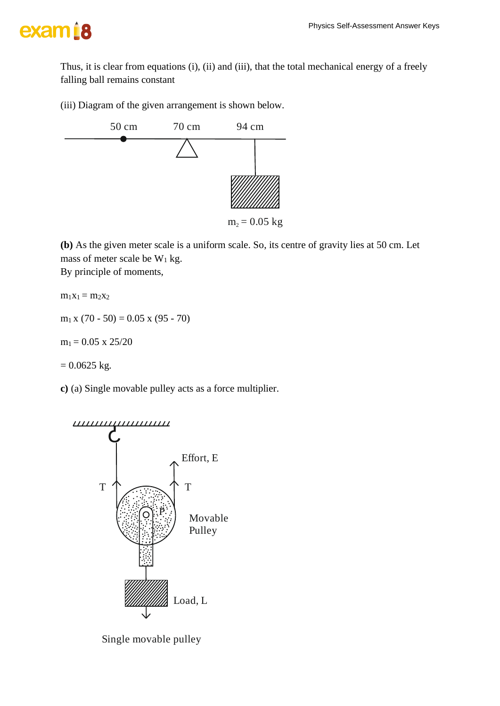

Thus, it is clear from equations (i), (ii) and (iii), that the total mechanical energy of a freely falling ball remains constant

(iii) Diagram of the given arrangement is shown below.



**(b)** As the given meter scale is a uniform scale. So, its centre of gravity lies at 50 cm. Let mass of meter scale be  $W_1$  kg.

By principle of moments,

 $m_1x_1 = m_2x_2$ 

 $m_1 x (70 - 50) = 0.05 x (95 - 70)$ 

 $m_1 = 0.05$  x 25/20

 $= 0.0625$  kg.

**c)** (a) Single movable pulley acts as a force multiplier.



Single movable pulley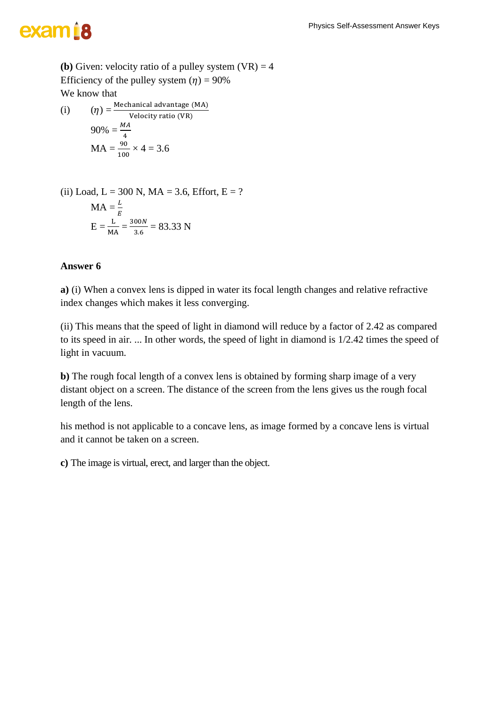## exam<sub>18</sub>

**(b)** Given: velocity ratio of a pulley system  $(VR) = 4$ Efficiency of the pulley system  $(\eta) = 90\%$ We know that

(i) 
$$
(\eta) = \frac{\text{Mechanical advantage (MA)}}{\text{Velocity ratio (VR)}}
$$

$$
90\% = \frac{MA}{4}
$$

$$
MA = \frac{90}{100} \times 4 = 3.6
$$

(ii) Load, L = 300 N, MA = 3.6, Effort, E = ?  
MA = 
$$
\frac{L}{E}
$$
  
E =  $\frac{L}{MA} = \frac{300N}{3.6} = 83.33$  N

#### **Answer 6**

**a)** (i) When a convex lens is dipped in water its focal length changes and relative refractive index changes which makes it less converging.

(ii) This means that the speed of light in diamond will reduce by a factor of 2.42 as compared to its speed in air. ... In other words, the speed of light in diamond is 1/2.42 times the speed of light in vacuum.

**b)** The rough focal length of a convex lens is obtained by forming sharp image of a very distant object on a screen. The distance of the screen from the lens gives us the rough focal length of the lens.

his method is not applicable to a concave lens, as image formed by a concave lens is virtual and it cannot be taken on a screen.

**c)** The image is virtual, erect, and larger than the object.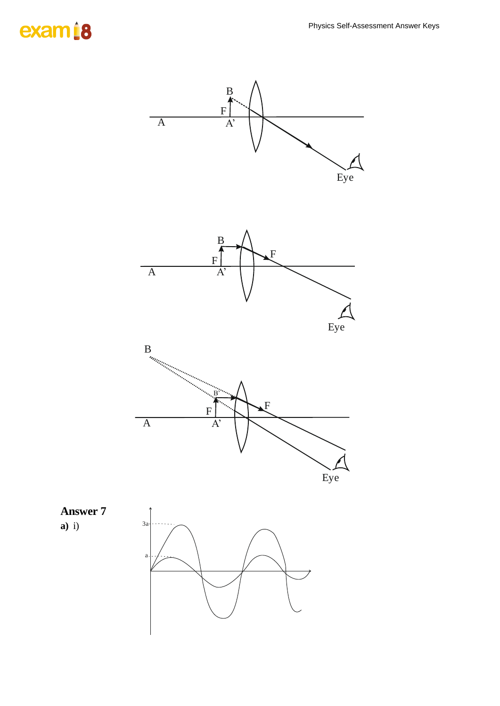### exam<sup>18</sup>

**a)** i)

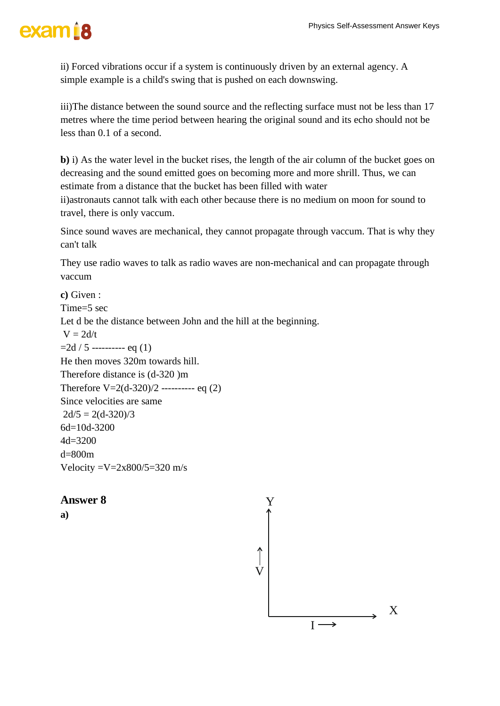ii) Forced vibrations occur if a system is continuously driven by an external agency. A simple example is a child's swing that is pushed on each downswing.

iii)The distance between the sound source and the reflecting surface must not be less than 17 metres where the time period between hearing the original sound and its echo should not be less than 0.1 of a second.

**b**) i) As the water level in the bucket rises, the length of the air column of the bucket goes on decreasing and the sound emitted goes on becoming more and more shrill. Thus, we can estimate from a distance that the bucket has been filled with water

ii)astronauts cannot talk with each other because there is no medium on moon for sound to travel, there is only vaccum.

Since sound waves are mechanical, they cannot propagate through vaccum. That is why they can't talk

They use radio waves to talk as radio waves are non-mechanical and can propagate through vaccum

**c)** Given : Time=5 sec Let d be the distance between John and the hill at the beginning.  $V = 2d/t$  $=2d/5$  ---------- eq (1) He then moves 320m towards hill. Therefore distance is (d-320 )m Therefore  $V=2(d-320)/2$  ---------- eq (2) Since velocities are same  $2d/5 = 2(d-320)/3$ 6d=10d-3200 4d=3200 d=800m Velocity  $=V=2x800/5=320$  m/s

#### **Answer 8**

**a)**

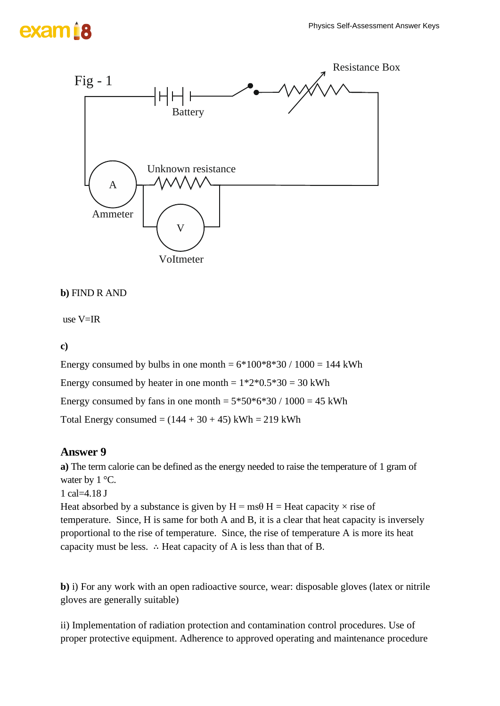

```
b) FIND R AND
```
use V=IR

**c)**

Energy consumed by bulbs in one month  $= 6*100*8*30 / 1000 = 144$  kWh Energy consumed by heater in one month  $= 1*2*0.5*30 = 30$  kWh Energy consumed by fans in one month  $= 5*50*6*30 / 1000 = 45$  kWh Total Energy consumed =  $(144 + 30 + 45)$  kWh = 219 kWh

#### **Answer 9**

**a)** The term calorie can be defined as the energy needed to raise the temperature of 1 gram of water by 1 °C.

1 cal=4.18 J

Heat absorbed by a substance is given by  $H = ms\theta H = Heat capacity \times rise$  of temperature. Since, H is same for both A and B, it is a clear that heat capacity is inversely proportional to the rise of temperature. Since, the rise of temperature A is more its heat capacity must be less. ∴ Heat capacity of A is less than that of B.

**b)** i) For any work with an open radioactive source, wear: disposable gloves (latex or nitrile gloves are generally suitable)

ii) Implementation of radiation protection and contamination control procedures. Use of proper protective equipment. Adherence to approved operating and maintenance procedure